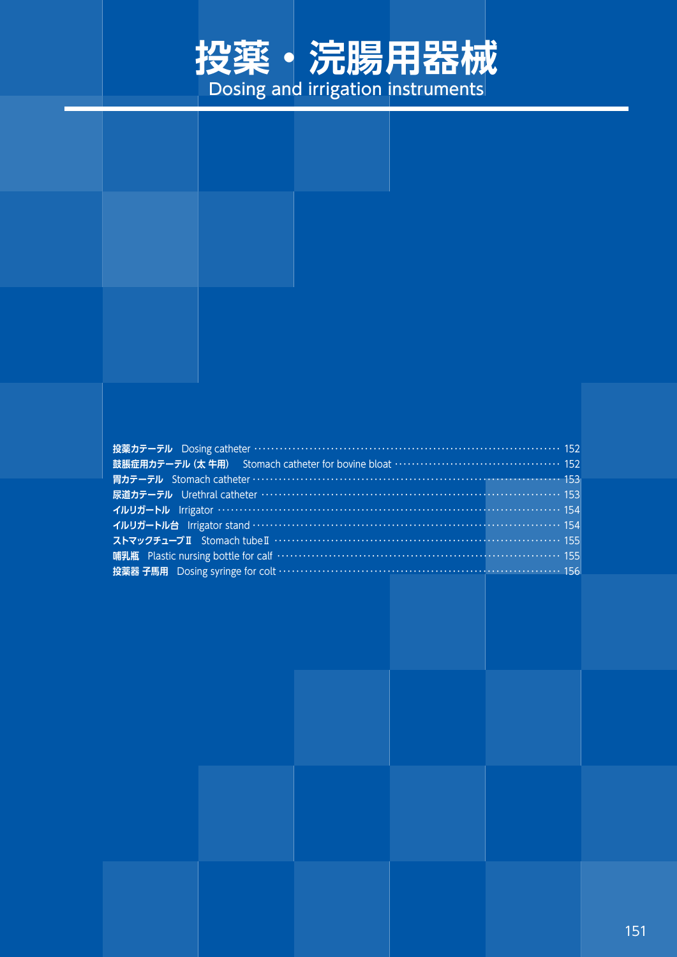

## **投薬カテーテル** Dosing catheter ・・・・・・・・・・・・・・・・・・・・・・・・・・・・・・・・・・・・・・・・・・・・・・・・・・・・・・・・・・・・・・・・・・・・・・・・ 152 **鼓脹症用カテーテル(太 牛用)** Stomach catheter for bovine bloat ・・・・・・・・・・・・・・・・・・・・・・・・・・・・・・・・・・・・・・・ 152 **胃カテーテル** Stomach catheter ・・・・・・・・・・・・・・・・・・・・・・・・・・・・・・・・・・・・・・・・・・・・・・・・・・・・・・・・・・・・・・・・・・・・・・・ 153 **尿道カテーテル** Urethral catheter ・・・・・・・・・・・・・・・・・・・・・・・・・・・・・・・・・・・・・・・・・・・・・・・・・・・・・・・・・・・・・・・・・・・・・ 153 **イルリガートル** Irrigator ・・・・・・・・・・・・・・・・・・・・・・・・・・・・・・・・・・・・・・・・・・・・・・・・・・・・・・・・・・・・・・・・・・・・・・・・・・・・・・・ 154 **イルリガートル台** Irrigator stand ・・・・・・・・・・・・・・・・・・・・・・・・・・・・・・・・・・・・・・・・・・・・・・・・・・・・・・・・・・・・・・・・・・・・・・・ 154 **ストマックチューブⅡ** Stomach tubeⅡ ・・・・・・・・・・・・・・・・・・・・・・・・・・・・・・・・・・・・・・・・・・・・・・・・・・・・・・・・・・・・・・・・・・ 155 **哺乳瓶** Plastic nursing bottle for calf …………………………………………………………………… 155 **投薬器 子馬用** Dosing syringe for colt …………………………………………………………………… 156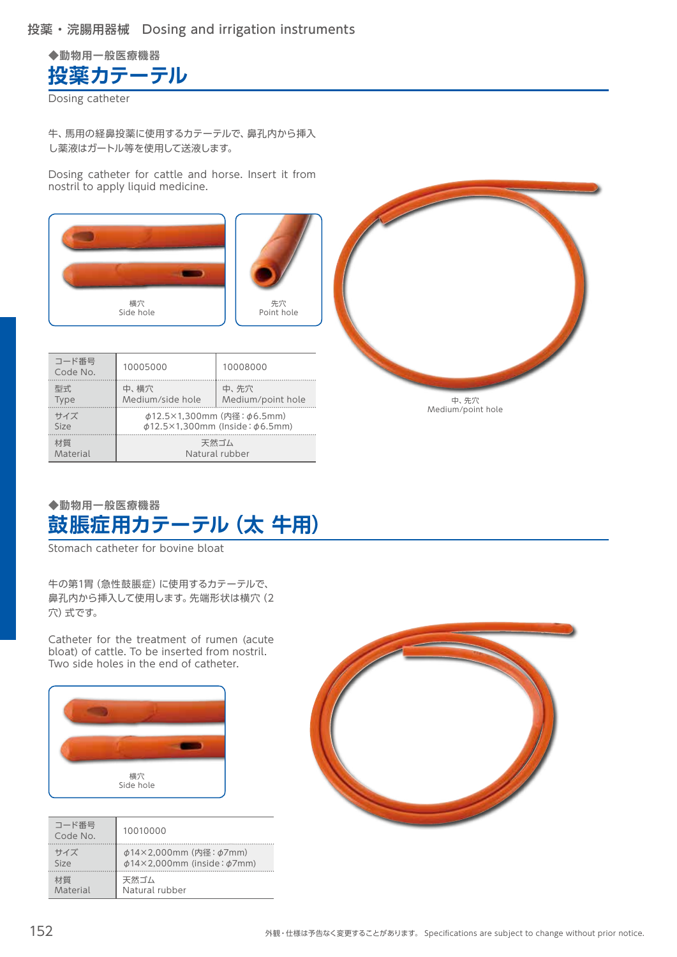

Dosing catheter

牛、馬用の経鼻投薬に使用するカテーテルで、鼻孔内から挿入 し薬液はガートル等を使用して送液します。

Dosing catheter for cattle and horse. Insert it from nostril to apply liquid medicine.





| Material          |                                                                                      | Natural rubber            |
|-------------------|--------------------------------------------------------------------------------------|---------------------------|
| 材質                | 天然ゴム                                                                                 |                           |
| サイズ<br>Size       | $\phi$ 12.5×1,300mm (内径: $\phi$ 6.5mm)<br>$\phi$ 12.5×1,300mm (Inside: $\phi$ 6.5mm) |                           |
| 型式<br><b>Type</b> | 中、横穴<br>Medium/side hole                                                             | 中、先穴<br>Medium/point hole |
| コード番号<br>Code No. | 10005000                                                                             | 10008000                  |



## **◆動物用一般医療機器 鼓脹症用カテーテル(太 牛用)**

Stomach catheter for bovine bloat

牛の第1胃(急性鼓脹症)に使用するカテーテルで、 鼻孔内から挿入して使用します。先端形状は横穴(2 穴)式です。

Catheter for the treatment of rumen (acute bloat) of cattle. To be inserted from nostril. Two side holes in the end of catheter.



| コード番号<br>Code No. | 10010000                               |
|-------------------|----------------------------------------|
| サイズ               | $\phi$ 14×2,000mm (内径: $\phi$ 7mm)     |
| Size              | $\phi$ 14×2,000mm (inside: $\phi$ 7mm) |
| 材質                | 天然ゴム                                   |
| Material          | Natural rubber                         |

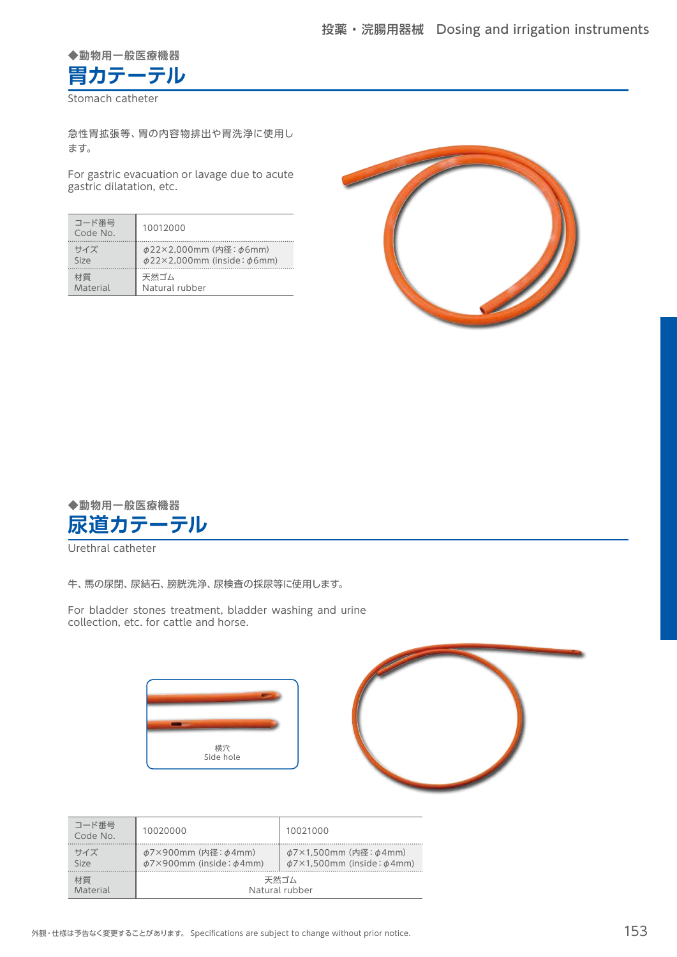

Stomach catheter

急性胃拡張等、胃の内容物排出や胃洗浄に使用し ます。

For gastric evacuation or lavage due to acute gastric dilatation, etc.

| コード番号<br>Code No. | 10012000                               |
|-------------------|----------------------------------------|
| サイズ               | φ22×2,000mm (内径: φ6mm)                 |
| Size              | $\phi$ 22×2,000mm (inside: $\phi$ 6mm) |
| 材質                | 天然ゴム                                   |
| Material          | Natural rubber                         |





Urethral catheter

牛、馬の尿閉、尿結石、膀胱洗浄、尿検査の採尿等に使用します。

For bladder stones treatment, bladder washing and urine collection, etc. for cattle and horse.



| コード番号<br>Code No. | 10020000                                                               | 10021000                                                                   |
|-------------------|------------------------------------------------------------------------|----------------------------------------------------------------------------|
| サイズ<br>Size       | $\phi$ 7×900mm (内径: $\phi$ 4mm)<br>$\phi$ 7×900mm (inside: $\phi$ 4mm) | $\phi$ 7×1,500mm (内径: $\phi$ 4mm)<br>$\phi$ 7×1,500mm (inside: $\phi$ 4mm) |
| 材質<br>Material    |                                                                        | 天然ゴム<br>Natural rubber                                                     |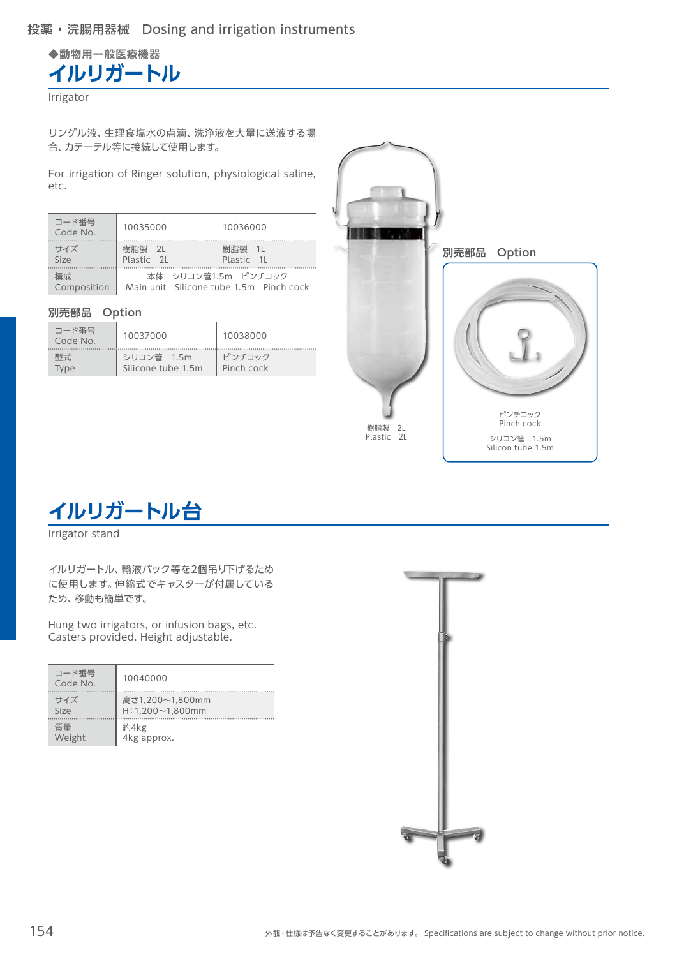**◆動物用一般医療機器 イルリガートル**

**Irrigator** 

リンゲル液、生理食塩水の点滴、洗浄液を大量に送液する場 合、カテーテル等に接続して使用します。

For irrigation of Ringer solution, physiological saline, etc.

| コード番号<br>Code No.  | 10035000             | 10036000                                                       |
|--------------------|----------------------|----------------------------------------------------------------|
| サイズ<br>Size        | 樹脂製 2L<br>Plastic 21 | 樹脂製 1L<br>Plastic 1L                                           |
| 構成.<br>Composition |                      | 本体 シリコン管1.5m ピンチコック<br>Main unit Silicone tube 1.5m Pinch cock |

#### **別売部品 Option**

| コード番号<br>Code No. | 10037000           | 10038000   |
|-------------------|--------------------|------------|
| 型式                | シリコン管 1.5m         | ピンチコック     |
| Tvpe              | Silicone tube 1.5m | Pinch cock |



**イルリガートル台**

Irrigator stand

イルリガートル、輸液バック等を2個吊り下げるため に使用します。伸縮式でキャスターが付属している ため、移動も簡単です。

Hung two irrigators, or infusion bags, etc. Casters provided. Height adjustable.

| コード番号<br>Code No. | 10040000              |
|-------------------|-----------------------|
| サイズ               | 高さ1,200~1,800mm       |
| Size              | $H:1,200\sim1,800$ mm |
| 質量                | 約4kg                  |
| Weight            | 4kg approx.           |

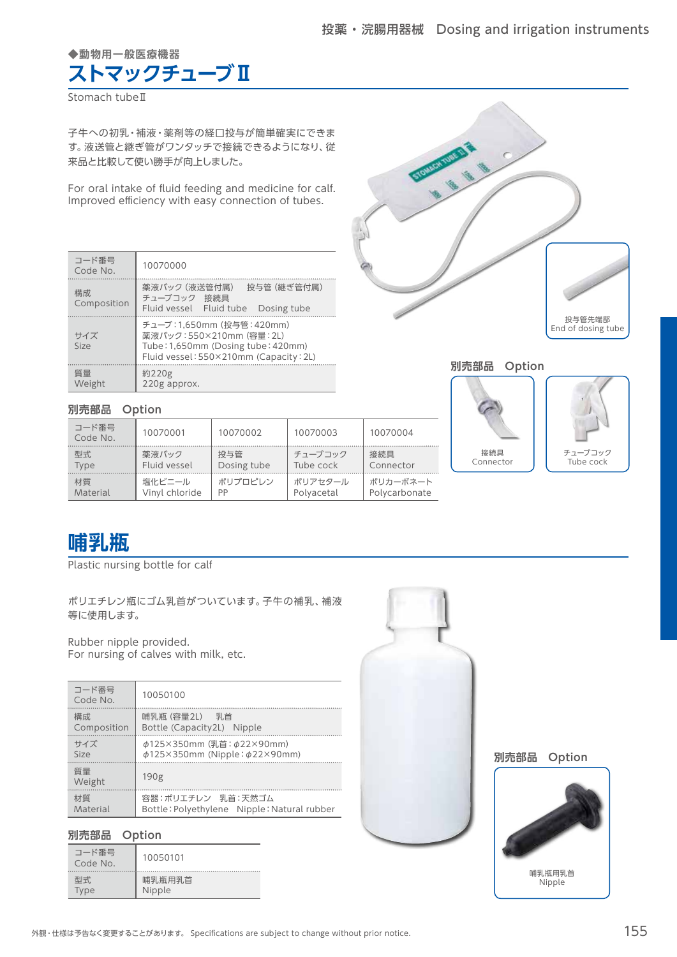#### **◆動物用一般医療機器**

# **ストマックチューブⅡ**

Stomach tubeⅡ

子牛への初乳・補液・薬剤等の経口投与が簡単確実にできま す。液送管と継ぎ管がワンタッチで接続できるようになり、従 来品と比較して使い勝手が向上しました。

For oral intake of fluid feeding and medicine for calf. Improved efficiency with easy connection of tubes.

| コード番号<br>Code No.  | 10070000                                                                                                                             |
|--------------------|--------------------------------------------------------------------------------------------------------------------------------------|
| 構成.<br>Composition | 薬液バック (液送管付属)<br>投与管 (継ぎ管付属)<br>チューブコック 接続具<br>Fluid vessel Fluid tube<br>Dosing tube                                                |
| サイズ<br>Size        | チューブ:1.650mm (投与管:420mm)<br>薬液バック:550×210mm (容量: 2L)<br>Tube: 1,650mm (Dosing tube: 420mm)<br>Fluid vessel: 550×210mm (Capacity: 2L) |
| 質量<br>Weight       | 約220g<br>220g approx.                                                                                                                |



#### **別売部品 Option**





## **別売部品 Option**

| コード番号<br>Code No. | 10070001       | 10070002    | 10070003   | 10070004      |
|-------------------|----------------|-------------|------------|---------------|
| 型式.               | 薬液バック          | 投与管         | チューブコック    | 接続具           |
| Type              | Fluid vessel   | Dosing tube | Tube cock  | Connector     |
| 材質                | 塩化ビニール         | ポリプロピレン     | ポリアセタール    | ポリカーボネート      |
| Material          | Vinyl chloride | PP          | Polyacetal | Polycarbonate |

# **哺乳瓶**

Plastic nursing bottle for calf

ポリエチレン瓶にゴム乳首がついています。子牛の補乳、補液 等に使用します。

Rubber nipple provided. For nursing of calves with milk, etc.

| コード番号<br>Code No. | 10050100                                    |
|-------------------|---------------------------------------------|
| 構成.               | 哺乳瓶 (容量2L) 乳首                               |
| Composition       | Bottle (Capacity2L) Nipple                  |
| サイズ               | φ125×350mm (乳首: φ22×90mm)                   |
| Size              | $\phi$ 125×350mm (Nipple: $\phi$ 22×90mm)   |
| 質量<br>Weight      | 190 <sub>g</sub>                            |
| 材質                | 容器:ポリエチレン 乳首:天然ゴム                           |
| Material          | Bottle: Polyethylene Nipple: Natural rubber |

#### **別売部品 Option**

| コード番号<br>Code No. | 10050101 |
|-------------------|----------|
| 型式                | 哺乳瓶用乳首   |
| <b>Type</b>       | Nipple   |



**別売部品 Option**